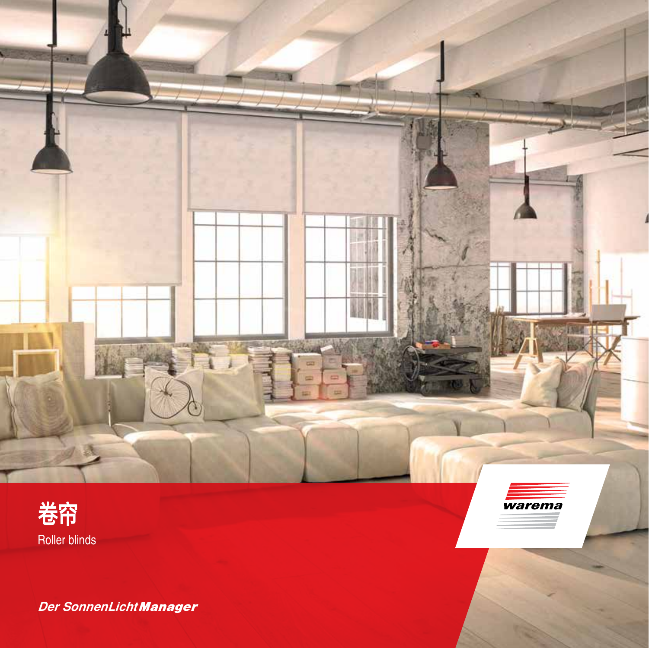

÷



*Der SonnenLicht Manager*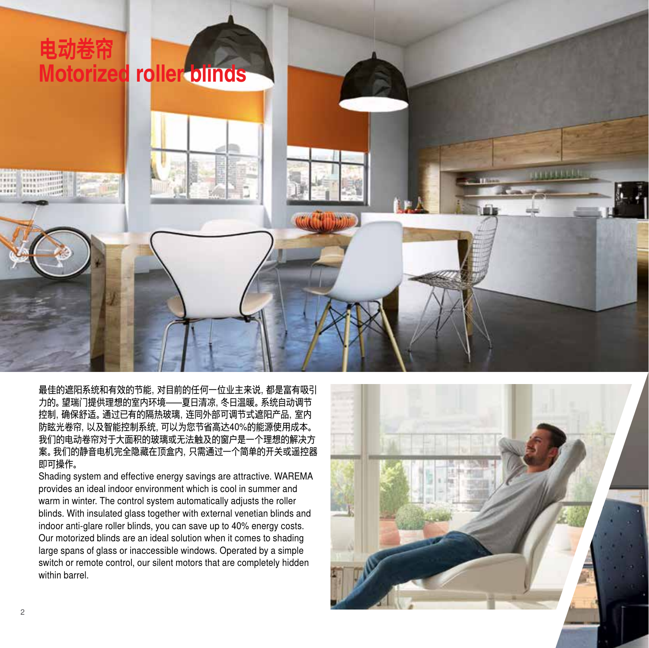

最佳的遮阳系统和有效的节能,对目前的任何一位业主来说,都是富有吸引 力的。望瑞门提供理想的室内环境——夏日清凉,冬日温暖。系统自动调节 控制,确保舒适。通过已有的隔热玻璃,连同外部可调节式遮阳产品,室内 防眩光卷帘,以及智能控制系统,可以为您节省高达40%的能源使用成本。 我们的电动卷帘对于大面积的玻璃或无法触及的窗户是一个理想的解决方 案。我们的静音电机完全隐藏在顶盒内,只需通过一个简单的开关或遥控器 即可操作。

Shading system and effective energy savings are attractive. WAREMA provides an ideal indoor environment which is cool in summer and warm in winter. The control system automatically adjusts the roller blinds. With insulated glass together with external venetian blinds and indoor anti-glare roller blinds, you can save up to 40% energy costs. Our motorized blinds are an ideal solution when it comes to shading large spans of glass or inaccessible windows. Operated by a simple switch or remote control, our silent motors that are completely hidden within barrel.

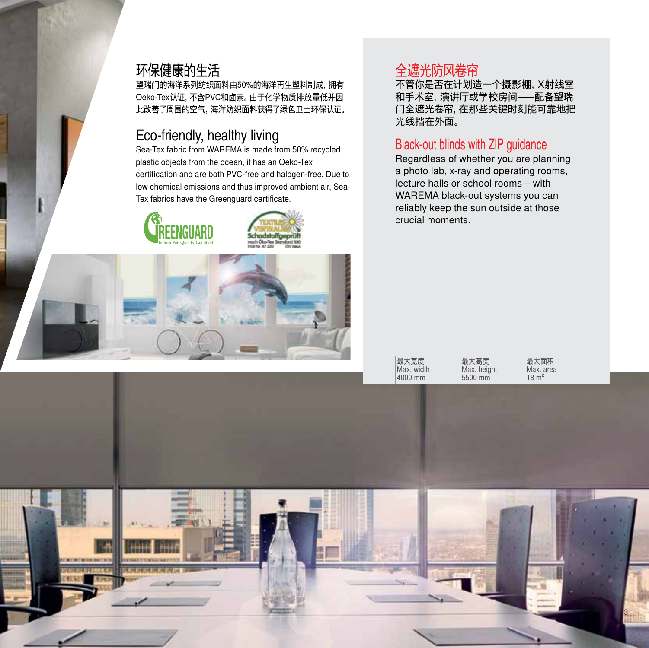#### 环保健康的生活

望瑞门的海洋系列纺织面料由50%的海洋再生塑料制成,拥有 Oeko-Tex认证,不含PVC和卤素。由于化学物质排放量低并因 此改善了周围的空气,海洋纺织面料获得了绿色卫士环保认证。

# Eco-friendly, healthy living

Sea-Tex fabric from WAREMA is made from 50% recycled plastic objects from the ocean, it has an Oeko-Tex certification and are both PVC-free and halogen-free. Due to low chemical emissions and thus improved ambient air, Sea-Tex fabrics have the Greenguard certificate.







### 全遮光防风卷帘

不管你是否在计划造一个摄影棚,X射线室 和手术室,演讲厅或学校房间—配备望瑞 门全遮光卷帘,在那些关键时刻能可靠地把 光线挡在外面。

#### Black-out blinds with ZIP guidance

Regardless of whether you are planning a photo lab, x-ray and operating rooms, lecture halls or school rooms – with WAREMA black-out systems you can reliably keep the sun outside at those crucial moments.

最大宽度 Max. width 4000 mm

最大高度 Max. height 5500 mm

最大面积 Max. area  $18 m<sup>2</sup>$ 

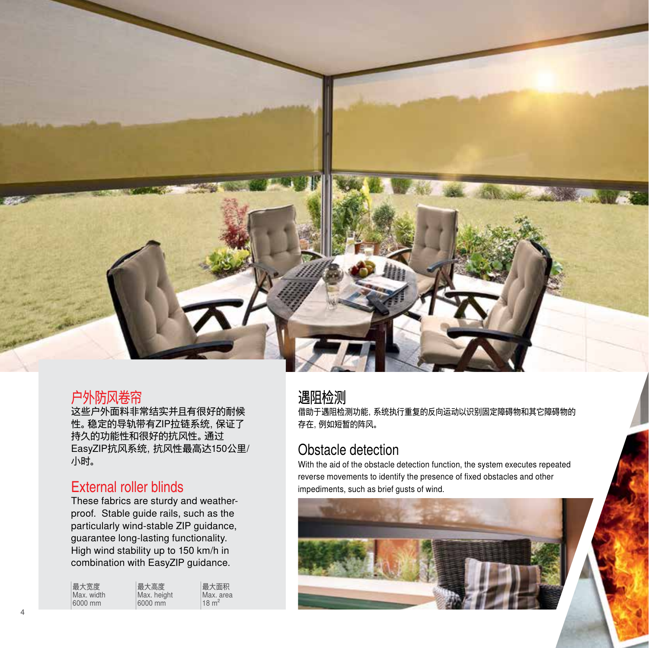

#### 户外防风卷帘

这些户外面料非常结实并且有很好的耐候 性。稳定的导轨带有ZIP拉链系统,保证了 持久的功能性和很好的抗风性。通过 EasyZIP抗风系统,抗风性最高达150公里/ 小时。

#### External roller blinds

These fabrics are sturdy and weatherproof. Stable guide rails, such as the particularly wind-stable ZIP guidance, guarantee long-lasting functionality. High wind stability up to 150 km/h in combination with EasyZIP guidance.

| 最大宽度       | 最大高度        | 最大面积             |
|------------|-------------|------------------|
| Max. width | Max. height | Max. area        |
| 6000 mm    | 6000 mm     | $18 \text{ m}^2$ |

#### 遇阻检测

借助于遇阻检测功能,系统执行重复的反向运动以识别固定障碍物和其它障碍物的 存在,例如短暂的阵风。

#### Obstacle detection

With the aid of the obstacle detection function, the system executes repeated reverse movements to identify the presence of fixed obstacles and other impediments, such as brief gusts of wind.

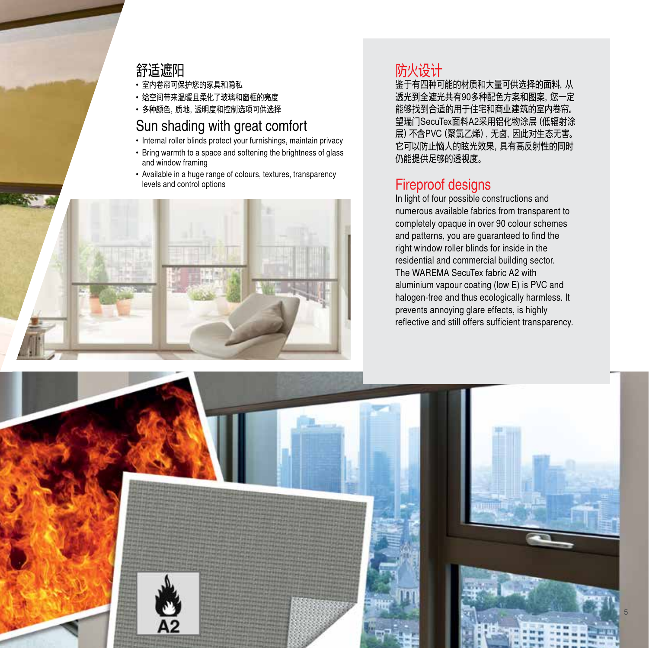#### 舒适遮阳

- 室内卷帘可保护您的家具和隐私
- 给空间带来温暖且柔化了玻璃和窗框的亮度
- 多种颜色, 质地, 诱明度和控制选项可供选择

#### Sun shading with great comfort

- Internal roller blinds protect your furnishings, maintain privacy
- Bring warmth to a space and softening the brightness of glass and window framing
- Available in a huge range of colours, textures, transparency levels and control options



# 防火设计

鉴于有四种可能的材质和大量可供选择的面料,从 透光到全遮光共有90多种配色方案和图案,您一定 能够找到合适的用于住宅和商业建筑的室内卷帘。 望瑞门SecuTex面料A2采用铝化物涂层(低辐射涂 层)不含PVC(聚氯乙烯),无卤,因此对生态无害。 它可以防止恼人的眩光效果,具有高反射性的同时 仍能提供足够的透视度。

#### Fireproof designs

In light of four possible constructions and numerous available fabrics from transparent to completely opaque in over 90 colour schemes and patterns, you are guaranteed to find the right window roller blinds for inside in the residential and commercial building sector. The WAREMA SecuTex fabric A2 with aluminium vapour coating (low E) is PVC and halogen-free and thus ecologically harmless. It prevents annoying glare effects, is highly reflective and still offers sufficient transparency.

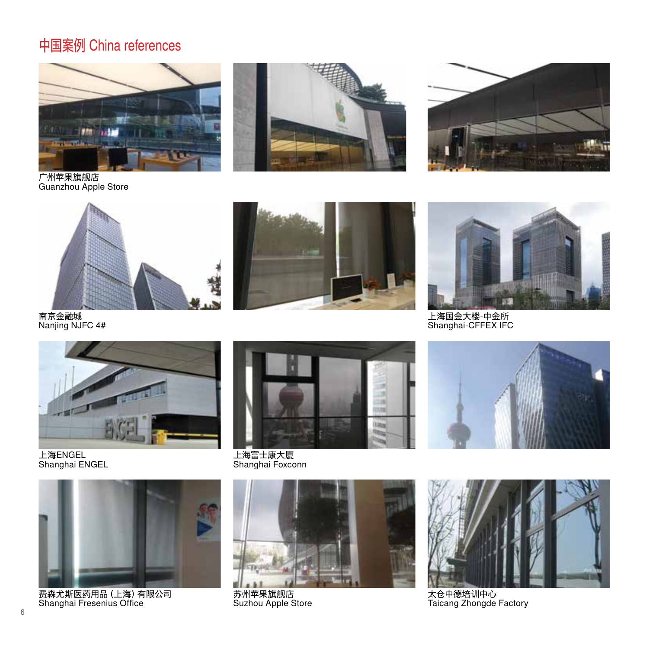# 中国案例 China references





广州苹果旗舰店 Guanzhou Apple Store



南京金融城 Nanjing NJFC 4#





上海国金大楼-中金所 Shanghai-CFFEX IFC



上海ENGEL Shanghai ENGEL



费森尤斯医药用品(上海)有限公司 Shanghai Fresenius Office



上海富士康大厦 Shanghai Foxconn



苏州苹果旗舰店 Suzhou Apple Store





太仓中德培训中心 Taicang Zhongde Factory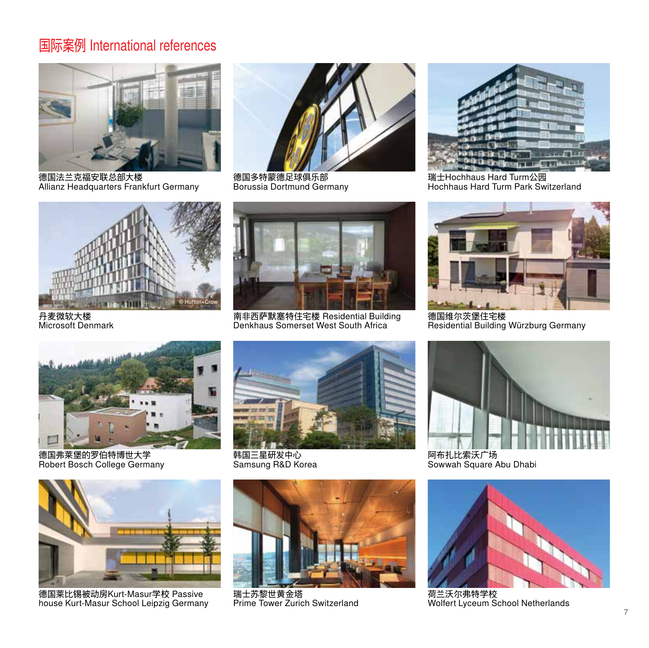# 国际案例 International references



德国法兰克福安联总部大楼 Allianz Headquarters Frankfurt Germany



德国多特蒙德足球俱乐部 Borussia Dortmund Germany



瑞士Hochhaus Hard Turm公园 Hochhaus Hard Turm Park Switzerland



丹麦微软大楼 Microsoft Denmark



南非西萨默塞特住宅楼 Residential Building Denkhaus Somerset West South Africa



德国维尔茨堡住宅楼 Residential Building Würzburg Germany



德国弗莱堡的罗伯特博世大学 Robert Bosch College Germany



韩国三星研发中心 Samsung R&D Korea



阿布扎比索沃广场 Sowwah Square Abu Dhabi



荷兰沃尔弗特学校 Wolfert Lyceum School Netherlands



德国莱比锡被动房Kurt-Masur学校 Passive house Kurt-Masur School Leipzig Germany



瑞士苏黎世黄金塔 Prime Tower Zurich Switzerland